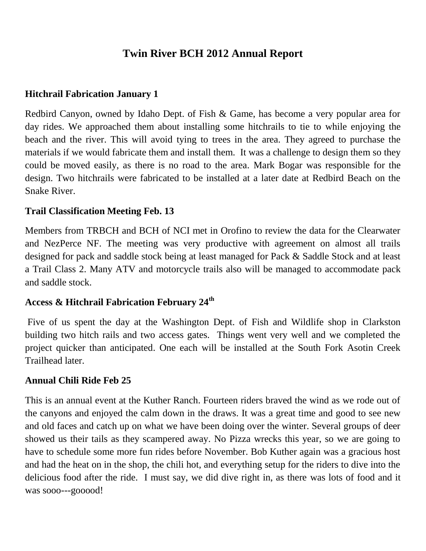# **Twin River BCH 2012 Annual Report**

### **Hitchrail Fabrication January 1**

Redbird Canyon, owned by Idaho Dept. of Fish & Game, has become a very popular area for day rides. We approached them about installing some hitchrails to tie to while enjoying the beach and the river. This will avoid tying to trees in the area. They agreed to purchase the materials if we would fabricate them and install them. It was a challenge to design them so they could be moved easily, as there is no road to the area. Mark Bogar was responsible for the design. Two hitchrails were fabricated to be installed at a later date at Redbird Beach on the Snake River.

### **Trail Classification Meeting Feb. 13**

Members from TRBCH and BCH of NCI met in Orofino to review the data for the Clearwater and NezPerce NF. The meeting was very productive with agreement on almost all trails designed for pack and saddle stock being at least managed for Pack & Saddle Stock and at least a Trail Class 2. Many ATV and motorcycle trails also will be managed to accommodate pack and saddle stock.

## **Access & Hitchrail Fabrication February 24th**

Five of us spent the day at the Washington Dept. of Fish and Wildlife shop in Clarkston building two hitch rails and two access gates. Things went very well and we completed the project quicker than anticipated. One each will be installed at the South Fork Asotin Creek Trailhead later.

#### **Annual Chili Ride Feb 25**

This is an annual event at the Kuther Ranch. Fourteen riders braved the wind as we rode out of the canyons and enjoyed the calm down in the draws. It was a great time and good to see new and old faces and catch up on what we have been doing over the winter. Several groups of deer showed us their tails as they scampered away. No Pizza wrecks this year, so we are going to have to schedule some more fun rides before November. Bob Kuther again was a gracious host and had the heat on in the shop, the chili hot, and everything setup for the riders to dive into the delicious food after the ride. I must say, we did dive right in, as there was lots of food and it was sooo---gooood!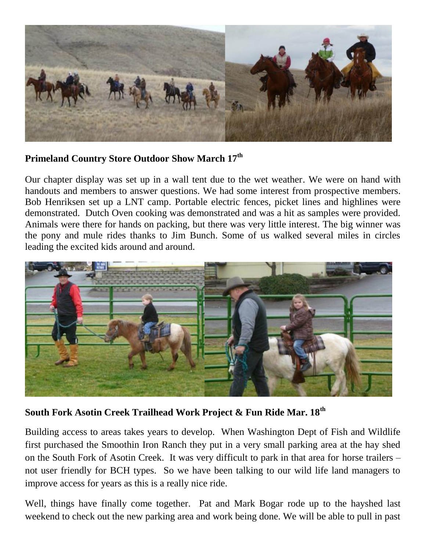

## **Primeland Country Store Outdoor Show March 17th**

Our chapter display was set up in a wall tent due to the wet weather. We were on hand with handouts and members to answer questions. We had some interest from prospective members. Bob Henriksen set up a LNT camp. Portable electric fences, picket lines and highlines were demonstrated. Dutch Oven cooking was demonstrated and was a hit as samples were provided. Animals were there for hands on packing, but there was very little interest. The big winner was the pony and mule rides thanks to Jim Bunch. Some of us walked several miles in circles leading the excited kids around and around.



**South Fork Asotin Creek Trailhead Work Project & Fun Ride Mar. 18th**

Building access to areas takes years to develop. When Washington Dept of Fish and Wildlife first purchased the Smoothin Iron Ranch they put in a very small parking area at the hay shed on the South Fork of Asotin Creek. It was very difficult to park in that area for horse trailers – not user friendly for BCH types. So we have been talking to our wild life land managers to improve access for years as this is a really nice ride.

Well, things have finally come together. Pat and Mark Bogar rode up to the hayshed last weekend to check out the new parking area and work being done. We will be able to pull in past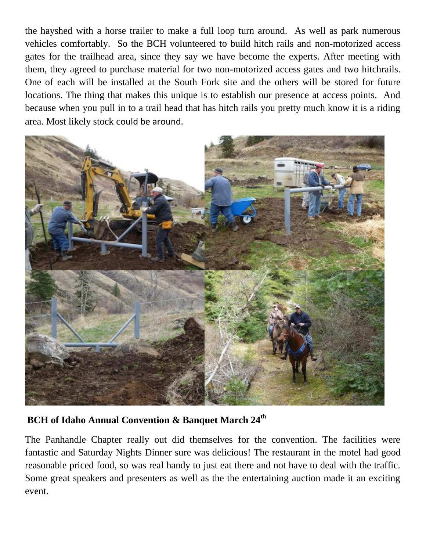the hayshed with a horse trailer to make a full loop turn around. As well as park numerous vehicles comfortably. So the BCH volunteered to build hitch rails and non-motorized access gates for the trailhead area, since they say we have become the experts. After meeting with them, they agreed to purchase material for two non-motorized access gates and two hitchrails. One of each will be installed at the South Fork site and the others will be stored for future locations. The thing that makes this unique is to establish our presence at access points. And because when you pull in to a trail head that has hitch rails you pretty much know it is a riding area. Most likely stock could be around.



**BCH of Idaho Annual Convention & Banquet March 24th** 

The Panhandle Chapter really out did themselves for the convention. The facilities were fantastic and Saturday Nights Dinner sure was delicious! The restaurant in the motel had good reasonable priced food, so was real handy to just eat there and not have to deal with the traffic. Some great speakers and presenters as well as the the entertaining auction made it an exciting event.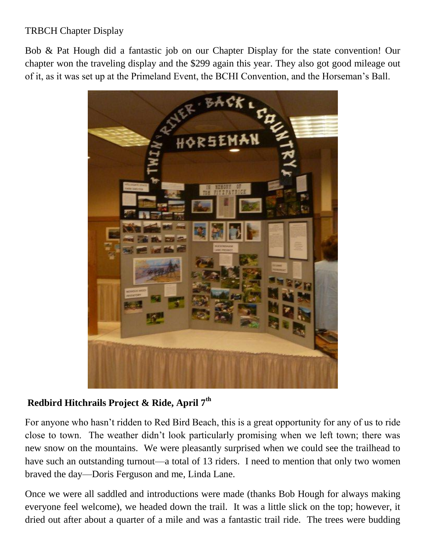# TRBCH Chapter Display

Bob & Pat Hough did a fantastic job on our Chapter Display for the state convention! Our chapter won the traveling display and the \$299 again this year. They also got good mileage out of it, as it was set up at the Primeland Event, the BCHI Convention, and the Horseman's Ball.



# **Redbird Hitchrails Project & Ride, April 7th**

For anyone who hasn't ridden to Red Bird Beach, this is a great opportunity for any of us to ride close to town. The weather didn't look particularly promising when we left town; there was new snow on the mountains. We were pleasantly surprised when we could see the trailhead to have such an outstanding turnout—a total of 13 riders. I need to mention that only two women braved the day—Doris Ferguson and me, Linda Lane.

Once we were all saddled and introductions were made (thanks Bob Hough for always making everyone feel welcome), we headed down the trail. It was a little slick on the top; however, it dried out after about a quarter of a mile and was a fantastic trail ride. The trees were budding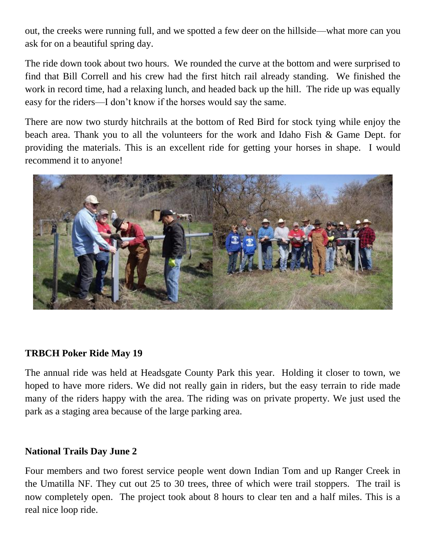out, the creeks were running full, and we spotted a few deer on the hillside—what more can you ask for on a beautiful spring day.

The ride down took about two hours. We rounded the curve at the bottom and were surprised to find that Bill Correll and his crew had the first hitch rail already standing. We finished the work in record time, had a relaxing lunch, and headed back up the hill. The ride up was equally easy for the riders—I don't know if the horses would say the same.

There are now two sturdy hitchrails at the bottom of Red Bird for stock tying while enjoy the beach area. Thank you to all the volunteers for the work and Idaho Fish & Game Dept. for providing the materials. This is an excellent ride for getting your horses in shape. I would recommend it to anyone!



## **TRBCH Poker Ride May 19**

The annual ride was held at Headsgate County Park this year. Holding it closer to town, we hoped to have more riders. We did not really gain in riders, but the easy terrain to ride made many of the riders happy with the area. The riding was on private property. We just used the park as a staging area because of the large parking area.

#### **National Trails Day June 2**

Four members and two forest service people went down Indian Tom and up Ranger Creek in the Umatilla NF. They cut out 25 to 30 trees, three of which were trail stoppers. The trail is now completely open. The project took about 8 hours to clear ten and a half miles. This is a real nice loop ride.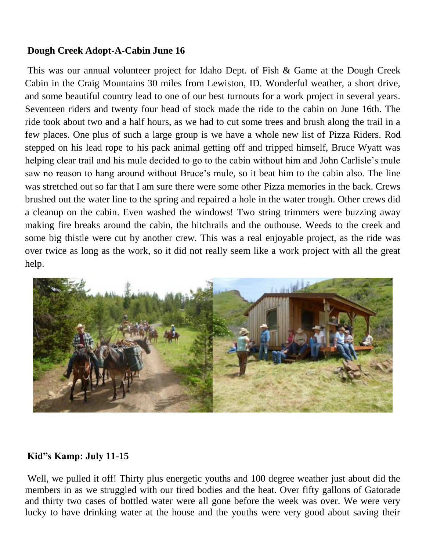## **Dough Creek Adopt-A-Cabin June 16**

This was our annual volunteer project for Idaho Dept. of Fish & Game at the Dough Creek Cabin in the Craig Mountains 30 miles from Lewiston, ID. Wonderful weather, a short drive, and some beautiful country lead to one of our best turnouts for a work project in several years. Seventeen riders and twenty four head of stock made the ride to the cabin on June 16th. The ride took about two and a half hours, as we had to cut some trees and brush along the trail in a few places. One plus of such a large group is we have a whole new list of Pizza Riders. Rod stepped on his lead rope to his pack animal getting off and tripped himself, Bruce Wyatt was helping clear trail and his mule decided to go to the cabin without him and John Carlisle's mule saw no reason to hang around without Bruce's mule, so it beat him to the cabin also. The line was stretched out so far that I am sure there were some other Pizza memories in the back. Crews brushed out the water line to the spring and repaired a hole in the water trough. Other crews did a cleanup on the cabin. Even washed the windows! Two string trimmers were buzzing away making fire breaks around the cabin, the hitchrails and the outhouse. Weeds to the creek and some big thistle were cut by another crew. This was a real enjoyable project, as the ride was over twice as long as the work, so it did not really seem like a work project with all the great help.



#### **Kid"s Kamp: July 11-15**

Well, we pulled it off! Thirty plus energetic youths and 100 degree weather just about did the members in as we struggled with our tired bodies and the heat. Over fifty gallons of Gatorade and thirty two cases of bottled water were all gone before the week was over. We were very lucky to have drinking water at the house and the youths were very good about saving their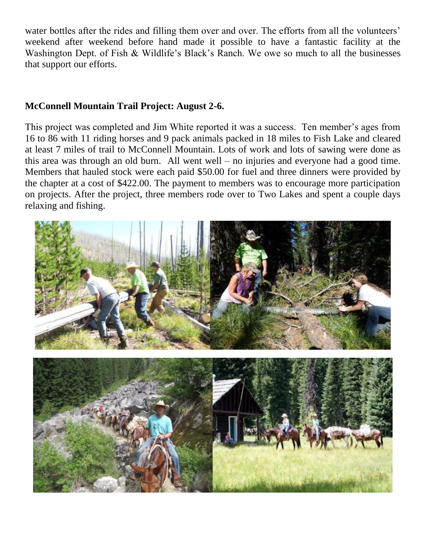water bottles after the rides and filling them over and over. The efforts from all the volunteers' weekend after weekend before hand made it possible to have a fantastic facility at the Washington Dept. of Fish & Wildlife's Black's Ranch. We owe so much to all the businesses that support our efforts.

## **McConnell Mountain Trail Project: August 2-6.**

This project was completed and Jim White reported it was a success. Ten member's ages from 16 to 86 with 11 riding horses and 9 pack animals packed in 18 miles to Fish Lake and cleared at least 7 miles of trail to McConnell Mountain. Lots of work and lots of sawing were done as this area was through an old burn. All went well – no injuries and everyone had a good time. Members that hauled stock were each paid \$50.00 for fuel and three dinners were provided by the chapter at a cost of \$422.00. The payment to members was to encourage more participation on projects. After the project, three members rode over to Two Lakes and spent a couple days relaxing and fishing.

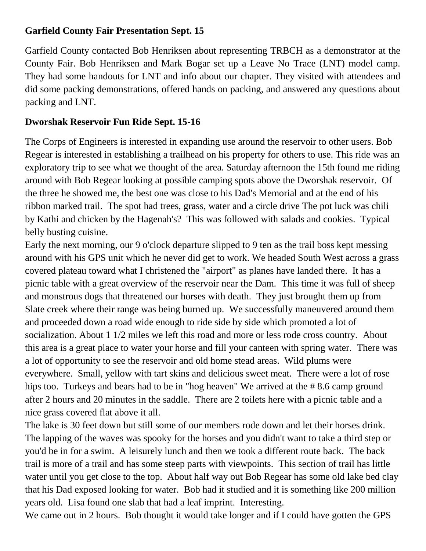# **Garfield County Fair Presentation Sept. 15**

Garfield County contacted Bob Henriksen about representing TRBCH as a demonstrator at the County Fair. Bob Henriksen and Mark Bogar set up a Leave No Trace (LNT) model camp. They had some handouts for LNT and info about our chapter. They visited with attendees and did some packing demonstrations, offered hands on packing, and answered any questions about packing and LNT.

# **Dworshak Reservoir Fun Ride Sept. 15-16**

The Corps of Engineers is interested in expanding use around the reservoir to other users. Bob Regear is interested in establishing a trailhead on his property for others to use. This ride was an exploratory trip to see what we thought of the area. Saturday afternoon the 15th found me riding around with Bob Regear looking at possible camping spots above the Dworshak reservoir. Of the three he showed me, the best one was close to his Dad's Memorial and at the end of his ribbon marked trail. The spot had trees, grass, water and a circle drive The pot luck was chili by Kathi and chicken by the Hagenah's? This was followed with salads and cookies. Typical belly busting cuisine.

Early the next morning, our 9 o'clock departure slipped to 9 ten as the trail boss kept messing around with his GPS unit which he never did get to work. We headed South West across a grass covered plateau toward what I christened the "airport" as planes have landed there. It has a picnic table with a great overview of the reservoir near the Dam. This time it was full of sheep and monstrous dogs that threatened our horses with death. They just brought them up from Slate creek where their range was being burned up. We successfully maneuvered around them and proceeded down a road wide enough to ride side by side which promoted a lot of socialization. About 1 1/2 miles we left this road and more or less rode cross country. About this area is a great place to water your horse and fill your canteen with spring water. There was a lot of opportunity to see the reservoir and old home stead areas. Wild plums were everywhere. Small, yellow with tart skins and delicious sweet meat. There were a lot of rose hips too. Turkeys and bears had to be in "hog heaven" We arrived at the #8.6 camp ground after 2 hours and 20 minutes in the saddle. There are 2 toilets here with a picnic table and a nice grass covered flat above it all.

The lake is 30 feet down but still some of our members rode down and let their horses drink. The lapping of the waves was spooky for the horses and you didn't want to take a third step or you'd be in for a swim. A leisurely lunch and then we took a different route back. The back trail is more of a trail and has some steep parts with viewpoints. This section of trail has little water until you get close to the top. About half way out Bob Regear has some old lake bed clay that his Dad exposed looking for water. Bob had it studied and it is something like 200 million years old. Lisa found one slab that had a leaf imprint. Interesting.

We came out in 2 hours. Bob thought it would take longer and if I could have gotten the GPS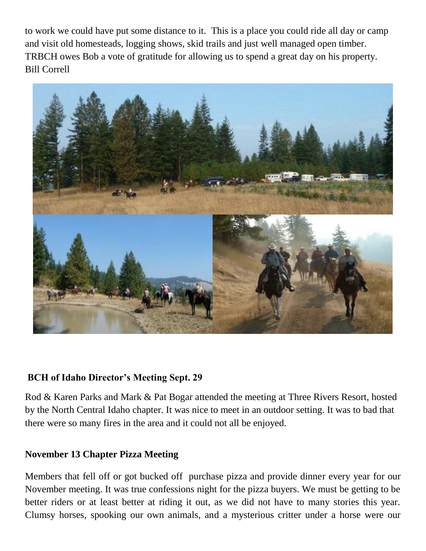to work we could have put some distance to it. This is a place you could ride all day or camp and visit old homesteads, logging shows, skid trails and just well managed open timber. TRBCH owes Bob a vote of gratitude for allowing us to spend a great day on his property. Bill Correll



#### **BCH of Idaho Director's Meeting Sept. 29**

Rod & Karen Parks and Mark & Pat Bogar attended the meeting at Three Rivers Resort, hosted by the North Central Idaho chapter. It was nice to meet in an outdoor setting. It was to bad that there were so many fires in the area and it could not all be enjoyed.

#### **November 13 Chapter Pizza Meeting**

Members that fell off or got bucked off purchase pizza and provide dinner every year for our November meeting. It was true confessions night for the pizza buyers. We must be getting to be better riders or at least better at riding it out, as we did not have to many stories this year. Clumsy horses, spooking our own animals, and a mysterious critter under a horse were our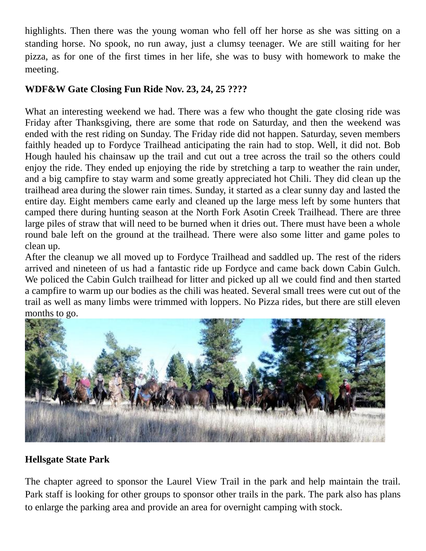highlights. Then there was the young woman who fell off her horse as she was sitting on a standing horse. No spook, no run away, just a clumsy teenager. We are still waiting for her pizza, as for one of the first times in her life, she was to busy with homework to make the meeting.

# **WDF&W Gate Closing Fun Ride Nov. 23, 24, 25 ????**

What an interesting weekend we had. There was a few who thought the gate closing ride was Friday after Thanksgiving, there are some that rode on Saturday, and then the weekend was ended with the rest riding on Sunday. The Friday ride did not happen. Saturday, seven members faithly headed up to Fordyce Trailhead anticipating the rain had to stop. Well, it did not. Bob Hough hauled his chainsaw up the trail and cut out a tree across the trail so the others could enjoy the ride. They ended up enjoying the ride by stretching a tarp to weather the rain under, and a big campfire to stay warm and some greatly appreciated hot Chili. They did clean up the trailhead area during the slower rain times. Sunday, it started as a clear sunny day and lasted the entire day. Eight members came early and cleaned up the large mess left by some hunters that camped there during hunting season at the North Fork Asotin Creek Trailhead. There are three large piles of straw that will need to be burned when it dries out. There must have been a whole round bale left on the ground at the trailhead. There were also some litter and game poles to clean up.

After the cleanup we all moved up to Fordyce Trailhead and saddled up. The rest of the riders arrived and nineteen of us had a fantastic ride up Fordyce and came back down Cabin Gulch. We policed the Cabin Gulch trailhead for litter and picked up all we could find and then started a campfire to warm up our bodies as the chili was heated. Several small trees were cut out of the trail as well as many limbs were trimmed with loppers. No Pizza rides, but there are still eleven months to go.



# **Hellsgate State Park**

The chapter agreed to sponsor the Laurel View Trail in the park and help maintain the trail. Park staff is looking for other groups to sponsor other trails in the park. The park also has plans to enlarge the parking area and provide an area for overnight camping with stock.